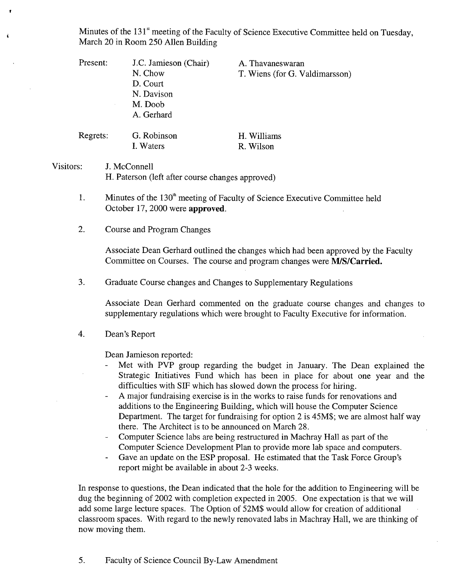Minutes of the 131<sup>st</sup> meeting of the Faculty of Science Executive Committee held on Tuesday, March 20 in Room *250* Allen Building

Present: J.C. Jamieson (Chair) N. Chow D. Court N. Davison M. Doob A. Gerhard A. Thavaneswaran T. Wiens (for G. Valdimarsson) Regrets: G. Robinson H. Williams I. Waters R. Wilson Visitors: J. McConnell

H. Paterson (left after course changes approved)

1. Minutes of the  $130<sup>th</sup>$  meeting of Faculty of Science Executive Committee held October 17, 2000 were **approved.** 

 $\overline{2}$ . Course and Program Changes

> Associate Dean Gerhard outlined the changes which had been approved by the Faculty Committee on Courses. The course and program changes were *MIS/Carried.*

3. Graduate Course changes and Changes to Supplementary Regulations

Associate Dean Gerhard commented on the graduate course changes and changes to supplementary regulations which were brought to Faculty Executive for information.

#### $\overline{4}$ . Dean's Report

Dean Jamieson reported:

- Met with PVP group regarding the budget in January. The Dean explained the Strategic Initiatives Fund which has been in place for about one year and the difficulties with SIF which has slowed down the process for hiring.
- A major fundraising exercise is in the works to raise funds for renovations and additions to the Engineering Building, which will house the Computer Science Department. The target for fundraising for option 2 is *45M\$;* we are almost half way there. The Architect is to be announced on March 28.
- Computer Science labs are being restructured in Machray Hall as part of the Computer Science Development Plan to provide more lab space and computers.
- Gave an update on the ESP proposal. He estimated that the Task Force Group's report might be available in about 2-3 weeks.

In response to questions, the Dean indicated that the hole for the addition to Engineering will be dug the beginning of 2002 with completion expected in 2005. One expectation is that we will add some large lecture spaces. The Option of 52M\$ would allow for creation of additional classroom spaces. With regard to the newly renovated labs in Machray Hall, we are thinking of now moving them.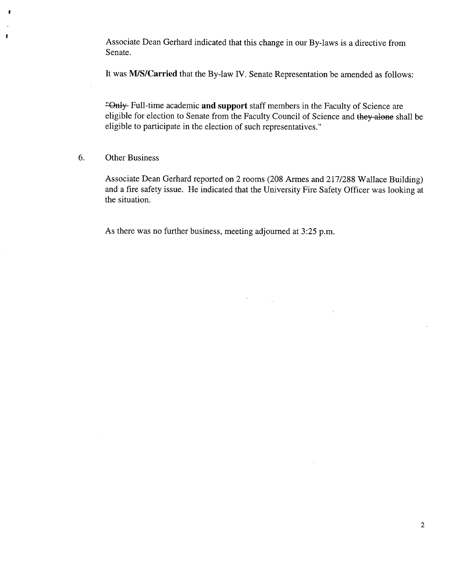Associate Dean Gerhard indicated that this change in our By-laws is a directive from Senate.

It was **MIS/Carried** that the By-law IV. Senate Representation be amended as follows:

"Only Full-time academic **and support** staff members in the Faculty of Science are eligible for election to Senate from the Faculty Council of Science and they alone shall be eligible to participate in the election of such representatives."

### 6. Other Business

ţ

Associate Dean Gerhard reported on 2 rooms (208 Armes and 217/288 Wallace Building) and a fire safety issue. He indicated that the University Fire Safety Officer was looking at the situation.

As there was no further business, meeting adjourned at *3:25* p.m.